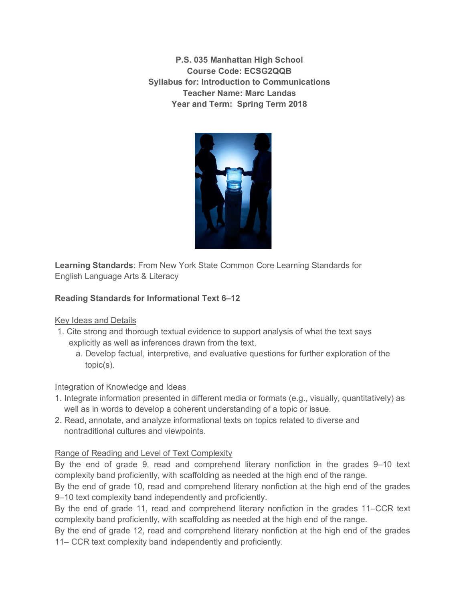**P.S. 035 Manhattan High School Course Code: ECSG2QQB Syllabus for: Introduction to Communications Teacher Name: Marc Landas Year and Term: Spring Term 2018**



**Learning Standards**: From New York State Common Core Learning Standards for English Language Arts & Literacy

# **Reading Standards for Informational Text 6–12**

## Key Ideas and Details

- 1. Cite strong and thorough textual evidence to support analysis of what the text says explicitly as well as inferences drawn from the text.
	- a. Develop factual, interpretive, and evaluative questions for further exploration of the topic(s).

## Integration of Knowledge and Ideas

- 1. Integrate information presented in different media or formats (e.g., visually, quantitatively) as well as in words to develop a coherent understanding of a topic or issue.
- 2. Read, annotate, and analyze informational texts on topics related to diverse and nontraditional cultures and viewpoints.

## Range of Reading and Level of Text Complexity

By the end of grade 9, read and comprehend literary nonfiction in the grades 9–10 text complexity band proficiently, with scaffolding as needed at the high end of the range.

By the end of grade 10, read and comprehend literary nonfiction at the high end of the grades 9–10 text complexity band independently and proficiently.

By the end of grade 11, read and comprehend literary nonfiction in the grades 11–CCR text complexity band proficiently, with scaffolding as needed at the high end of the range.

By the end of grade 12, read and comprehend literary nonfiction at the high end of the grades 11– CCR text complexity band independently and proficiently.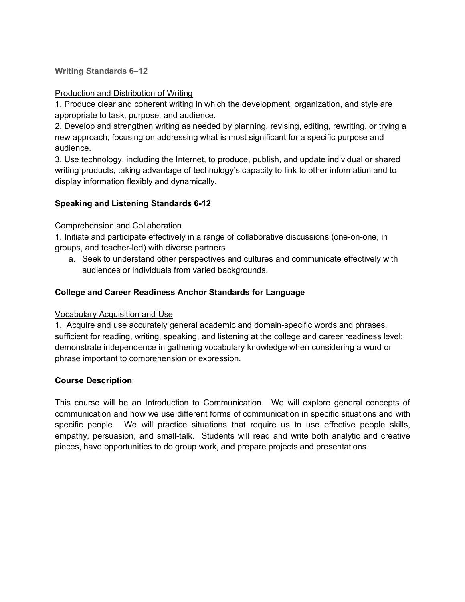**Writing Standards 6–12**

### Production and Distribution of Writing

1. Produce clear and coherent writing in which the development, organization, and style are appropriate to task, purpose, and audience.

2. Develop and strengthen writing as needed by planning, revising, editing, rewriting, or trying a new approach, focusing on addressing what is most significant for a specific purpose and audience.

3. Use technology, including the Internet, to produce, publish, and update individual or shared writing products, taking advantage of technology's capacity to link to other information and to display information flexibly and dynamically.

### **Speaking and Listening Standards 6-12**

### Comprehension and Collaboration

1. Initiate and participate effectively in a range of collaborative discussions (one-on-one, in groups, and teacher-led) with diverse partners.

a. Seek to understand other perspectives and cultures and communicate effectively with audiences or individuals from varied backgrounds.

### **College and Career Readiness Anchor Standards for Language**

#### Vocabulary Acquisition and Use

1. Acquire and use accurately general academic and domain-specific words and phrases, sufficient for reading, writing, speaking, and listening at the college and career readiness level; demonstrate independence in gathering vocabulary knowledge when considering a word or phrase important to comprehension or expression.

#### **Course Description**:

This course will be an Introduction to Communication. We will explore general concepts of communication and how we use different forms of communication in specific situations and with specific people. We will practice situations that require us to use effective people skills, empathy, persuasion, and small-talk. Students will read and write both analytic and creative pieces, have opportunities to do group work, and prepare projects and presentations.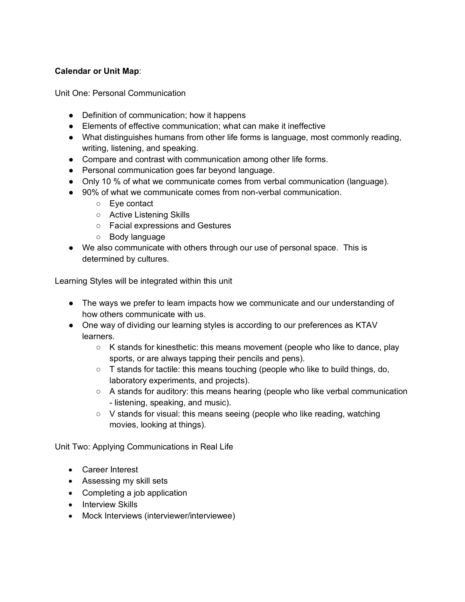## **Calendar or Unit Map**:

Unit One: Personal Communication

- Definition of communication; how it happens
- Elements of effective communication; what can make it ineffective
- What distinguishes humans from other life forms is language, most commonly reading, writing, listening, and speaking.
- Compare and contrast with communication among other life forms.
- Personal communication goes far beyond language.
- Only 10 % of what we communicate comes from verbal communication (language).
- 90% of what we communicate comes from non-verbal communication.
	- Eye contact
	- Active Listening Skills
	- Facial expressions and Gestures
	- Body language
- We also communicate with others through our use of personal space. This is determined by cultures.

Learning Styles will be integrated within this unit

- The ways we prefer to learn impacts how we communicate and our understanding of how others communicate with us.
- One way of dividing our learning styles is according to our preferences as KTAV learners.
	- K stands for kinesthetic: this means movement (people who like to dance, play sports, or are always tapping their pencils and pens).
	- T stands for tactile: this means touching (people who like to build things, do, laboratory experiments, and projects).
	- A stands for auditory: this means hearing (people who like verbal communication - listening, speaking, and music).
	- V stands for visual: this means seeing (people who like reading, watching movies, looking at things).

Unit Two: Applying Communications in Real Life

- Career Interest
- Assessing my skill sets
- Completing a job application
- Interview Skills
- Mock Interviews (interviewer/interviewee)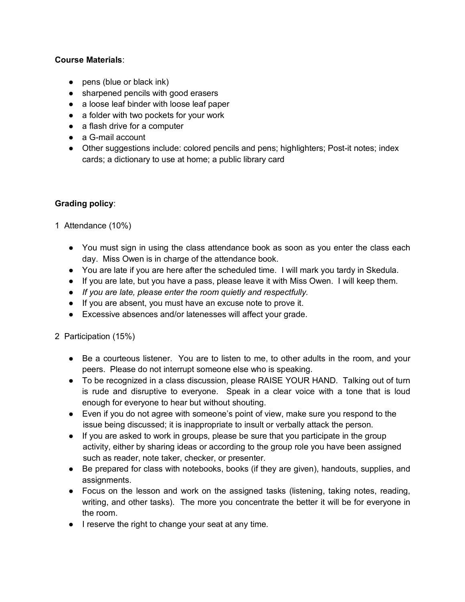### **Course Materials**:

- pens (blue or black ink)
- sharpened pencils with good erasers
- a loose leaf binder with loose leaf paper
- a folder with two pockets for your work
- a flash drive for a computer
- a G-mail account
- Other suggestions include: colored pencils and pens; highlighters; Post-it notes; index cards; a dictionary to use at home; a public library card

#### **Grading policy**:

- 1 Attendance (10%)
	- You must sign in using the class attendance book as soon as you enter the class each day. Miss Owen is in charge of the attendance book.
	- You are late if you are here after the scheduled time. I will mark you tardy in Skedula.
	- If you are late, but you have a pass, please leave it with Miss Owen. I will keep them.
	- *If you are late, please enter the room quietly and respectfully.*
	- If you are absent, you must have an excuse note to prove it.
	- Excessive absences and/or latenesses will affect your grade.
- 2 Participation (15%)
	- Be a courteous listener. You are to listen to me, to other adults in the room, and your peers. Please do not interrupt someone else who is speaking.
	- To be recognized in a class discussion, please RAISE YOUR HAND. Talking out of turn is rude and disruptive to everyone. Speak in a clear voice with a tone that is loud enough for everyone to hear but without shouting.
	- Even if you do not agree with someone's point of view, make sure you respond to the issue being discussed; it is inappropriate to insult or verbally attack the person.
	- If you are asked to work in groups, please be sure that you participate in the group activity, either by sharing ideas or according to the group role you have been assigned such as reader, note taker, checker, or presenter.
	- Be prepared for class with notebooks, books (if they are given), handouts, supplies, and assignments.
	- Focus on the lesson and work on the assigned tasks (listening, taking notes, reading, writing, and other tasks). The more you concentrate the better it will be for everyone in the room.
	- I reserve the right to change your seat at any time.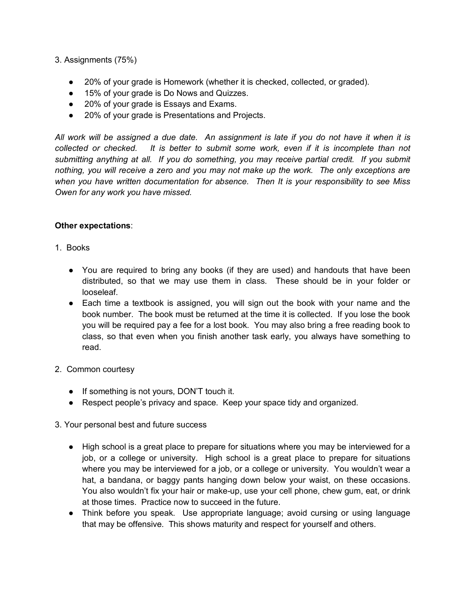3. Assignments (75%)

- 20% of your grade is Homework (whether it is checked, collected, or graded).
- 15% of your grade is Do Nows and Quizzes.
- 20% of your grade is Essays and Exams.
- 20% of your grade is Presentations and Projects.

*All work will be assigned a due date. An assignment is late if you do not have it when it is collected or checked. It is better to submit some work, even if it is incomplete than not submitting anything at all. If you do something, you may receive partial credit. If you submit nothing, you will receive a zero and you may not make up the work. The only exceptions are when you have written documentation for absence. Then It is your responsibility to see Miss Owen for any work you have missed.* 

#### **Other expectations**:

- 1. Books
	- You are required to bring any books (if they are used) and handouts that have been distributed, so that we may use them in class. These should be in your folder or looseleaf.
	- Each time a textbook is assigned, you will sign out the book with your name and the book number. The book must be returned at the time it is collected. If you lose the book you will be required pay a fee for a lost book. You may also bring a free reading book to class, so that even when you finish another task early, you always have something to read.
- 2. Common courtesy
	- If something is not yours, DON'T touch it.
	- Respect people's privacy and space. Keep your space tidy and organized.
- 3. Your personal best and future success
	- High school is a great place to prepare for situations where you may be interviewed for a job, or a college or university. High school is a great place to prepare for situations where you may be interviewed for a job, or a college or university. You wouldn't wear a hat, a bandana, or baggy pants hanging down below your waist, on these occasions. You also wouldn't fix your hair or make-up, use your cell phone, chew gum, eat, or drink at those times. Practice now to succeed in the future.
	- Think before you speak. Use appropriate language; avoid cursing or using language that may be offensive. This shows maturity and respect for yourself and others.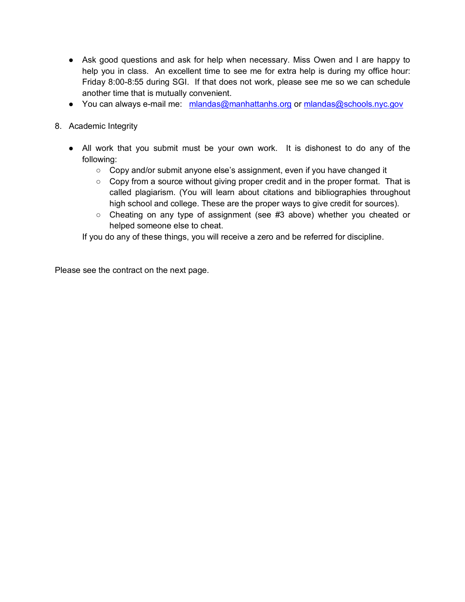- Ask good questions and ask for help when necessary. Miss Owen and I are happy to help you in class. An excellent time to see me for extra help is during my office hour: Friday 8:00-8:55 during SGI. If that does not work, please see me so we can schedule another time that is mutually convenient.
- You can always e-mail me: mlandas@manhattanhs.org or mlandas@schools.nyc.gov
- 8. Academic Integrity
	- All work that you submit must be your own work. It is dishonest to do any of the following:
		- Copy and/or submit anyone else's assignment, even if you have changed it
		- Copy from a source without giving proper credit and in the proper format. That is called plagiarism. (You will learn about citations and bibliographies throughout high school and college. These are the proper ways to give credit for sources).
		- Cheating on any type of assignment (see #3 above) whether you cheated or helped someone else to cheat.

If you do any of these things, you will receive a zero and be referred for discipline.

Please see the contract on the next page.